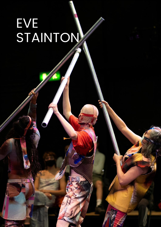## EVE STAINTON